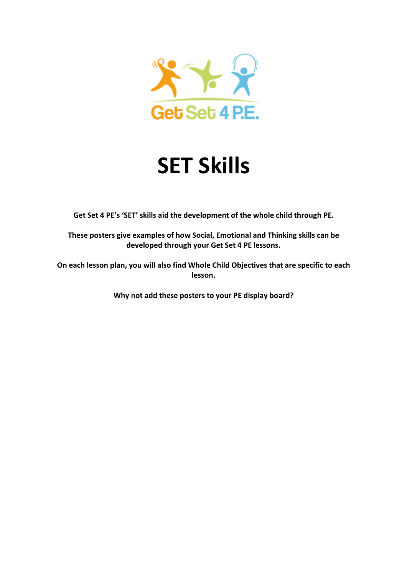

## **SET Skills**

**Get Set 4 PE's 'SET' skills aid the development of the whole child through PE.** 

**These posters give examples of how Social, Emotional and Thinking skills can be developed through your Get Set 4 PE lessons.** 

**On each lesson plan, you will also find Whole Child Objectives that are specific to each lesson.** 

**Why not add these posters to your PE display board?**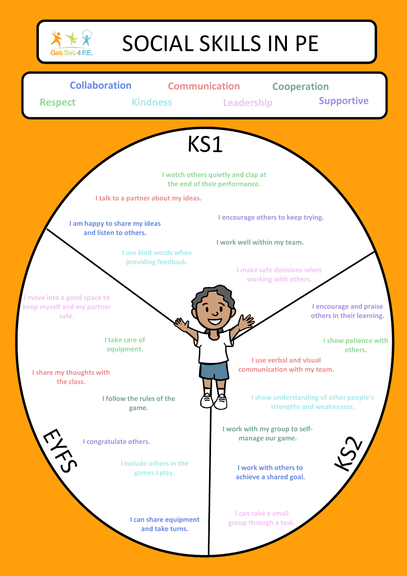

## SOCIAL SKILLS IN PE

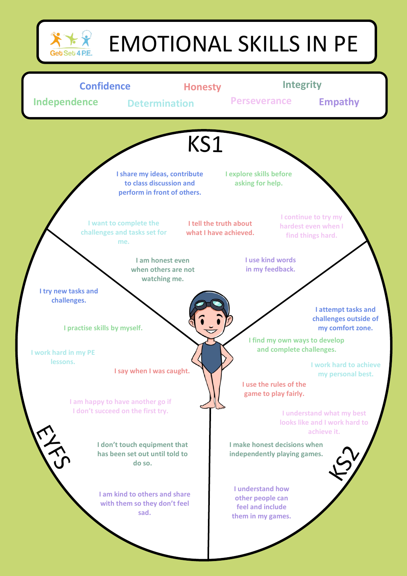

## EMOTIONAL SKILLS IN PE